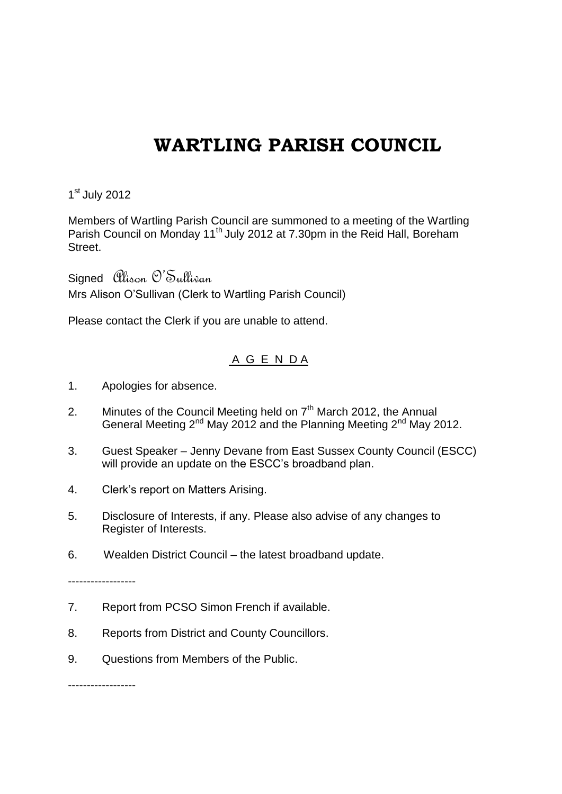## **WARTLING PARISH COUNCIL**

1<sup>st</sup> July 2012

Members of Wartling Parish Council are summoned to a meeting of the Wartling Parish Council on Monday 11<sup>th</sup> July 2012 at 7.30pm in the Reid Hall, Boreham Street.

Signed Alison O'Sullivan Mrs Alison O'Sullivan (Clerk to Wartling Parish Council)

Please contact the Clerk if you are unable to attend.

## A G E N D A

- 1. Apologies for absence.
- 2. Minutes of the Council Meeting held on  $7<sup>th</sup>$  March 2012, the Annual General Meeting 2<sup>nd</sup> May 2012 and the Planning Meeting 2<sup>nd</sup> May 2012.
- 3. Guest Speaker Jenny Devane from East Sussex County Council (ESCC) will provide an update on the ESCC's broadband plan.
- 4. Clerk's report on Matters Arising.
- 5. Disclosure of Interests, if any. Please also advise of any changes to Register of Interests.
- 6. Wealden District Council the latest broadband update.

------------------

- 7. Report from PCSO Simon French if available.
- 8. Reports from District and County Councillors.
- 9. Questions from Members of the Public.

------------------